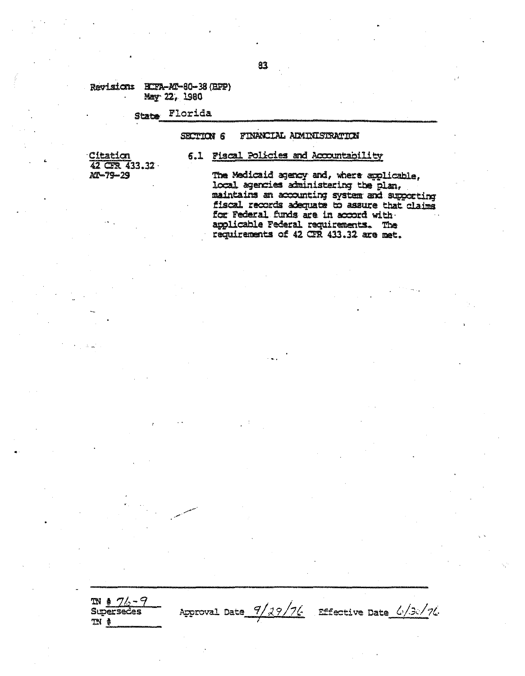## Revision: ECFA-AT-80-38 (BPP) May 22, 1980

State Florida

#### FINANCIAL AIMINISTRATION **SECTION 6**

6.1 Fiscal Policies and Accountability

Citation 42 CFR 433.32 AT-79-29

 $m * 76 - 9$ 

**Superseces** 

 $\mathbb{N}$  #

# The Medicaid agency and, where applicable,

local agencies administering the plan, maintains an accounting system and supporting fiscal records adequate to assure that claims for Federal funds are in accord with. applicable Federal requirements. The requirements of 42 CFR 433.32 are met.

Approval Date 9/29/76 Effective Date 6/30/76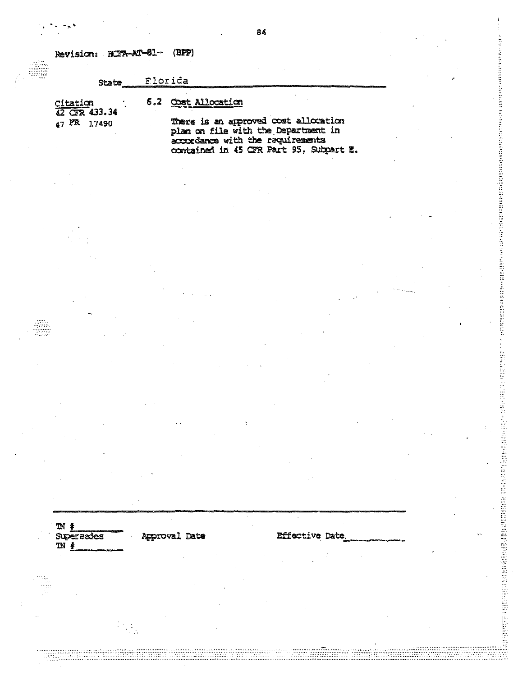Revision: RCFA-AT-81-(BPP)

#### Florida **State**

# 6.2 Cost Allocation

 $\frac{\text{Citation}}{42 \text{ CFR}}$  433.34 47 FR 17490

There is an approved cost allocation<br>plan on file with the Department in accordance with the requirements<br>contained in 45 CFR Part 95, Subpart E. is a construction of the state of the state of the state of the state of the state of the state of the state of the state of the state of the state of the state of the state of the state of the state of the state of the st

 $\mathbb{N}$   $\ast$ **Supersedes**  $\mathbb{N}$  #

نتيا<br>وفيات

**Approval Date** 

**Effective Date**